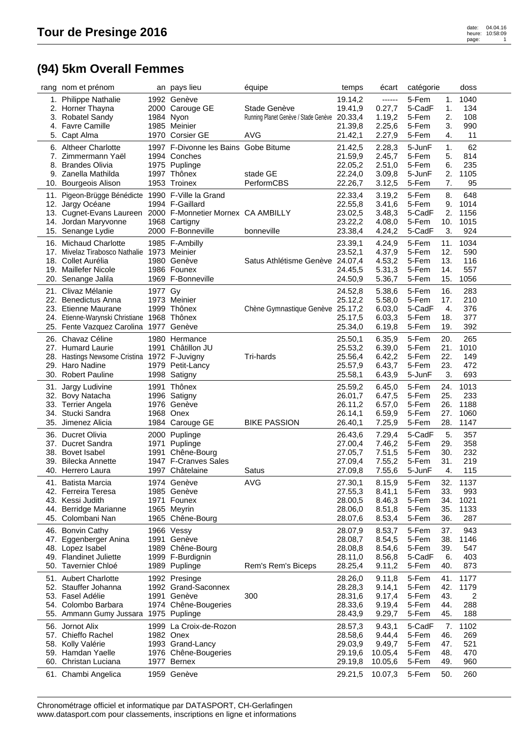## **(94) 5km Overall Femmes**

|     | rang nom et prénom                                          |           | an pays lieu                         | équipe                               | temps              | écart            | catégorie |     | doss |  |
|-----|-------------------------------------------------------------|-----------|--------------------------------------|--------------------------------------|--------------------|------------------|-----------|-----|------|--|
|     | 1. Philippe Nathalie                                        |           | 1992 Genève                          |                                      | 19.14,2            | ------           | 5-Fem     | 1.  | 1040 |  |
|     | 2. Horner Thayna                                            |           | 2000 Carouge GE                      | Stade Genève                         | 19.41,9            | 0.27,7           | 5-CadF    | 1.  | 134  |  |
| 3.  | Robatel Sandy                                               | 1984 Nyon |                                      | Running Planet Genève / Stade Genève | 20.33,4            | 1.19,2           | 5-Fem     | 2.  | 108  |  |
|     | 4. Favre Camille                                            |           | 1985 Meinier                         |                                      | 21.39,8            | 2.25,6           | 5-Fem     | 3.  | 990  |  |
|     | 5. Capt Alma                                                |           | 1970 Corsier GE                      | <b>AVG</b>                           | 21.42,1            | 2.27,9           | 5-Fem     | 4.  | 11   |  |
|     | 6. Altheer Charlotte                                        |           | 1997 F-Divonne les Bains Gobe Bitume |                                      | 21.42,5            | 2.28,3           | 5-JunF    | 1.  | 62   |  |
|     | 7. Zimmermann Yaël                                          |           | 1994 Conches                         |                                      |                    |                  | 5-Fem     | 5.  | 814  |  |
|     | 8. Brandes Olivia                                           |           | 1975 Puplinge                        |                                      | 21.59,9<br>22.05,2 | 2.45,7<br>2.51,0 | 5-Fem     | 6.  | 235  |  |
|     | 9. Zanella Mathilda                                         |           | 1997 Thônex                          | stade GE                             | 22.24,0            |                  | 5-JunF    | 2.  | 1105 |  |
|     | 10. Bourgeois Alison                                        |           | 1953 Troinex                         | PerformCBS                           | 22.26,7            | 3.09,8<br>3.12,5 | 5-Fem     | 7.  | 95   |  |
|     |                                                             |           |                                      |                                      |                    |                  |           |     |      |  |
|     | 11. Pigeon-Brügge Bénédicte 1990 F-Ville la Grand           |           |                                      |                                      | 22.33,4            | 3.19,2           | 5-Fem     | 8.  | 648  |  |
|     | 12. Jargy Océane                                            |           | 1994 F-Gaillard                      |                                      | 22.55,8            | 3.41,6           | 5-Fem     | 9.  | 1014 |  |
|     | 13. Cugnet-Evans Laureen 2000 F-Monnetier Mornex CA AMBILLY |           |                                      |                                      | 23.02,5            | 3.48,3           | 5-CadF    | 2.  | 1156 |  |
|     | 14. Jordan Maryvonne                                        |           | 1968 Cartigny                        |                                      | 23.22,2            | 4.08,0           | 5-Fem     | 10. | 1015 |  |
|     | 15. Senange Lydie                                           |           | 2000 F-Bonneville                    | bonneville                           | 23.38,4            | 4.24,2           | 5-CadF    | 3.  | 924  |  |
|     | 16. Michaud Charlotte                                       |           | 1985 F-Ambilly                       |                                      | 23.39,1            | 4.24,9           | 5-Fem     | 11. | 1034 |  |
| 17. | Mivelaz Tirabosco Nathalie 1973 Meinier                     |           |                                      |                                      | 23.52,1            | 4.37,9           | 5-Fem     | 12. | 590  |  |
|     | 18. Collet Aurélia                                          |           | 1980 Genève                          | Satus Athlétisme Genève 24.07,4      |                    | 4.53,2           | 5-Fem     | 13. | 116  |  |
|     | 19. Maillefer Nicole                                        |           | 1986 Founex                          |                                      | 24.45,5            | 5.31,3           | 5-Fem     | 14. | 557  |  |
|     | 20. Senange Jalila                                          |           | 1969 F-Bonneville                    |                                      | 24.50,9            | 5.36,7           | 5-Fem     | 15. | 1056 |  |
| 21. | Clivaz Mélanie                                              | 1977 Gy   |                                      |                                      | 24.52,8            | 5.38,6           | 5-Fem     | 16. | 283  |  |
|     | 22. Benedictus Anna                                         |           | 1973 Meinier                         |                                      | 25.12,2            | 5.58,0           | 5-Fem     | 17. | 210  |  |
|     | 23. Etienne Maurane                                         |           | 1999 Thônex                          | Chène Gymnastique Genève 25.17,2     |                    | 6.03,0           | 5-CadF    | 4.  | 376  |  |
| 24. | Etienne-Warynski Christiane 1968 Thônex                     |           |                                      |                                      | 25.17,5            | 6.03,3           | 5-Fem     | 18. | 377  |  |
|     | 25. Fente Vazquez Carolina                                  |           | 1977 Genève                          |                                      | 25.34,0            | 6.19,8           | 5-Fem     | 19. | 392  |  |
|     |                                                             |           |                                      |                                      |                    |                  |           |     |      |  |
|     | 26. Chavaz Céline                                           |           | 1980 Hermance                        |                                      | 25.50,1            | 6.35,9           | 5-Fem     | 20. | 265  |  |
|     | 27. Humard Laurie                                           |           | 1991 Châtillon JU                    |                                      | 25.53,2            | 6.39,0           | 5-Fem     | 21. | 1010 |  |
|     | 28. Hastings Newsome Cristina 1972 F-Juvigny                |           |                                      | Tri-hards                            | 25.56,4            | 6.42,2           | 5-Fem     | 22. | 149  |  |
| 29. | Haro Nadine                                                 |           | 1979 Petit-Lancy                     |                                      | 25.57,9            | 6.43,7           | 5-Fem     | 23. | 472  |  |
|     | 30. Robert Pauline                                          |           | 1998 Satigny                         |                                      | 25.58,1            | 6.43,9           | 5-JunF    | 3.  | 693  |  |
|     | 31. Jargy Ludivine                                          |           | 1991 Thônex                          |                                      | 25.59,2            | 6.45,0           | 5-Fem     | 24. | 1013 |  |
|     | 32. Bovy Natacha                                            |           | 1996 Satigny                         |                                      | 26.01,7            | 6.47,5           | 5-Fem     | 25. | 233  |  |
|     | 33. Terrier Angela                                          |           | 1976 Genève                          |                                      | 26.11,2            | 6.57,0           | 5-Fem     | 26. | 1188 |  |
| 34. | Stucki Sandra                                               |           | 1968 Onex                            |                                      | 26.14,1            | 6.59,9           | 5-Fem     | 27. | 1060 |  |
|     | 35. Jimenez Alicia                                          |           | 1984 Carouge GE                      | <b>BIKE PASSION</b>                  | 26.40,1            | 7.25,9           | 5-Fem     | 28. | 1147 |  |
|     | 36. Ducret Olivia                                           |           | 2000 Puplinge                        |                                      | 26.43,6            | 7.29,4           | 5-CadF    | 5.  | 357  |  |
|     | 37. Ducret Sandra                                           | 1971      | Puplinge                             |                                      | 27.00,4            | 7.46,2           | 5-Fem     | 29. | 358  |  |
|     | 38. Bovet Isabel                                            |           | 1991 Chêne-Bourg                     |                                      | 27.05,7            | 7.51,5           | 5-Fem     | 30. | 232  |  |
| 39. | <b>Bilecka Annette</b>                                      |           | 1947 F-Cranves Sales                 |                                      | 27.09,4            | 7.55,2           | 5-Fem     | 31. | 219  |  |
|     | 40. Herrero Laura                                           |           | 1997 Châtelaine                      | Satus                                | 27.09,8            | 7.55,6           | 5-JunF    | 4.  | 115  |  |
|     | 41. Batista Marcia                                          |           | 1974 Genève                          | <b>AVG</b>                           | 27.30,1            | 8.15,9           | 5-Fem     | 32. | 1137 |  |
|     | 42. Ferreira Teresa                                         |           | 1985 Genève                          |                                      | 27.55,3            | 8.41,1           | 5-Fem     | 33. | 993  |  |
|     | 43. Kessi Judith                                            |           | 1971 Founex                          |                                      | 28.00,5            | 8.46,3           | 5-Fem     | 34. | 1021 |  |
| 44. | Berridge Marianne                                           |           | 1965 Meyrin                          |                                      | 28.06,0            | 8.51,8           | 5-Fem     | 35. | 1133 |  |
|     | 45. Colombani Nan                                           |           | 1965 Chêne-Bourg                     |                                      | 28.07,6            | 8.53,4           | 5-Fem     | 36. | 287  |  |
|     |                                                             |           |                                      |                                      |                    |                  |           |     |      |  |
|     | 46. Bonvin Cathy                                            |           | 1966 Vessy                           |                                      | 28.07,9            | 8.53,7           | 5-Fem     | 37. | 943  |  |
|     | 47. Eggenberger Anina                                       |           | 1991 Genève                          |                                      | 28.08,7            | 8.54,5           | 5-Fem     | 38. | 1146 |  |
|     | 48. Lopez Isabel                                            |           | 1989 Chêne-Bourg                     |                                      | 28.08,8            | 8.54,6           | 5-Fem     | 39. | 547  |  |
|     | 49. Flandinet Juliette                                      |           | 1999 F-Burdignin                     |                                      | 28.11,0            | 8.56,8           | 5-CadF    | 6.  | 403  |  |
|     | 50. Tavernier Chloé                                         |           | 1989 Puplinge                        | Rem's Rem's Biceps                   | 28.25,4            | 9.11,2           | 5-Fem     | 40. | 873  |  |
|     | 51. Aubert Charlotte                                        |           | 1992 Presinge                        |                                      | 28.26,0            | 9.11,8           | 5-Fem     | 41. | 1177 |  |
|     | 52. Stauffer Johanna                                        |           | 1992 Grand-Saconnex                  |                                      | 28.28,3            | 9.14,1           | 5-Fem     | 42. | 1179 |  |
|     | 53. Fasel Adélie                                            |           | 1991 Genève                          | 300                                  | 28.31,6            | 9.17,4           | 5-Fem     | 43. | 2    |  |
|     | 54. Colombo Barbara                                         |           | 1974 Chêne-Bougeries                 |                                      | 28.33,6            | 9.19,4           | 5-Fem     | 44. | 288  |  |
| 55. | Ammann Gumy Jussara                                         |           | 1975 Puplinge                        |                                      | 28.43,9            | 9.29,7           | 5-Fem     | 45. | 188  |  |
|     | 56. Jornot Alix                                             | 1999      | La Croix-de-Rozon                    |                                      | 28.57,3            | 9.43,1           | 5-CadF    | 7.  | 1102 |  |
|     | 57. Chieffo Rachel                                          |           | 1982 Onex                            |                                      | 28.58,6            | 9.44,4           | 5-Fem     | 46. | 269  |  |
|     | 58. Kolly Valérie                                           |           | 1993 Grand-Lancy                     |                                      | 29.03,9            | 9.49,7           | 5-Fem     | 47. | 521  |  |
|     | 59. Hamdan Yaelle                                           |           | 1976 Chêne-Bougeries                 |                                      | 29.19,6            | 10.05,4          | 5-Fem     | 48. | 470  |  |
|     | 60. Christan Luciana                                        |           | 1977 Bernex                          |                                      | 29.19,8            | 10.05,6          | 5-Fem     | 49. | 960  |  |
|     | 61. Chambi Angelica                                         |           | 1959 Genève                          |                                      | 29.21,5            | 10.07,3          | 5-Fem     | 50. | 260  |  |
|     |                                                             |           |                                      |                                      |                    |                  |           |     |      |  |